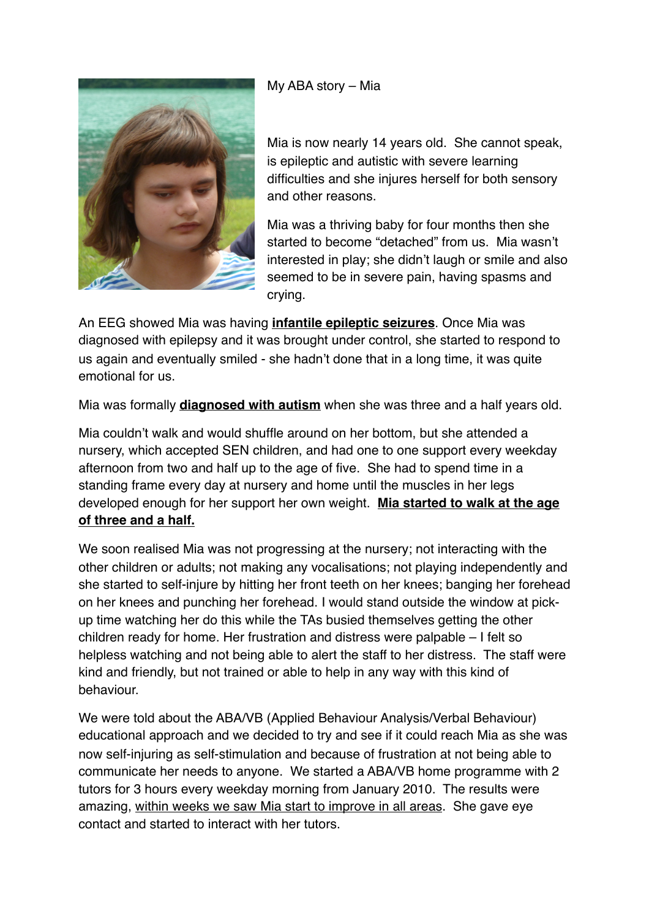My ABA story – Mia



Mia is now nearly 14 years old. She cannot speak, is epileptic and autistic with severe learning difficulties and she injures herself for both sensory and other reasons.

Mia was a thriving baby for four months then she started to become "detached" from us. Mia wasn't interested in play; she didn't laugh or smile and also seemed to be in severe pain, having spasms and crying.

An EEG showed Mia was having **infantile epileptic seizures**. Once Mia was diagnosed with epilepsy and it was brought under control, she started to respond to us again and eventually smiled - she hadn't done that in a long time, it was quite emotional for us.

Mia was formally **diagnosed with autism** when she was three and a half years old.

Mia couldn't walk and would shuffle around on her bottom, but she attended a nursery, which accepted SEN children, and had one to one support every weekday afternoon from two and half up to the age of five. She had to spend time in a standing frame every day at nursery and home until the muscles in her legs developed enough for her support her own weight. **Mia started to walk at the age of three and a half.**

We soon realised Mia was not progressing at the nursery; not interacting with the other children or adults; not making any vocalisations; not playing independently and she started to self-injure by hitting her front teeth on her knees; banging her forehead on her knees and punching her forehead. I would stand outside the window at pickup time watching her do this while the TAs busied themselves getting the other children ready for home. Her frustration and distress were palpable – I felt so helpless watching and not being able to alert the staff to her distress. The staff were kind and friendly, but not trained or able to help in any way with this kind of behaviour.

We were told about the ABA/VB (Applied Behaviour Analysis/Verbal Behaviour) educational approach and we decided to try and see if it could reach Mia as she was now self-injuring as self-stimulation and because of frustration at not being able to communicate her needs to anyone. We started a ABA/VB home programme with 2 tutors for 3 hours every weekday morning from January 2010. The results were amazing, within weeks we saw Mia start to improve in all areas. She gave eye contact and started to interact with her tutors.